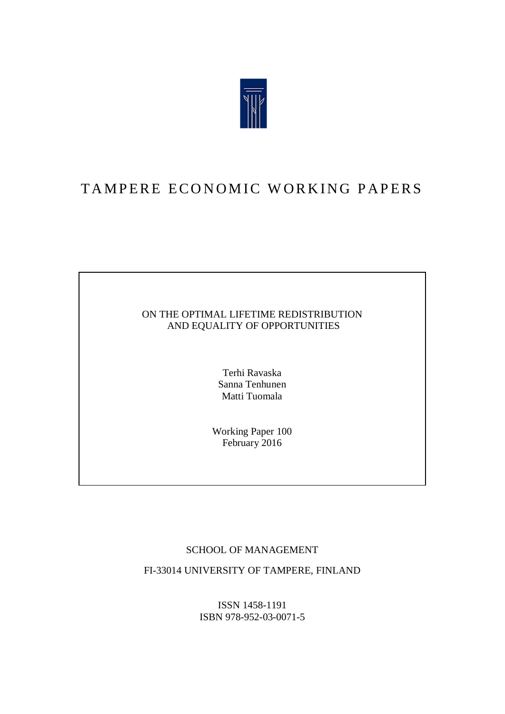

# TAMPERE ECONOMIC WORKING PAPERS

### ON THE OPTIMAL LIFETIME REDISTRIBUTION AND EQUALITY OF OPPORTUNITIES

Terhi Ravaska Sanna Tenhunen Matti Tuomala

Working Paper 100 February 2016

### SCHOOL OF MANAGEMENT

FI-33014 UNIVERSITY OF TAMPERE, FINLAND

ISSN 1458-1191 ISBN 978-952-03-0071-5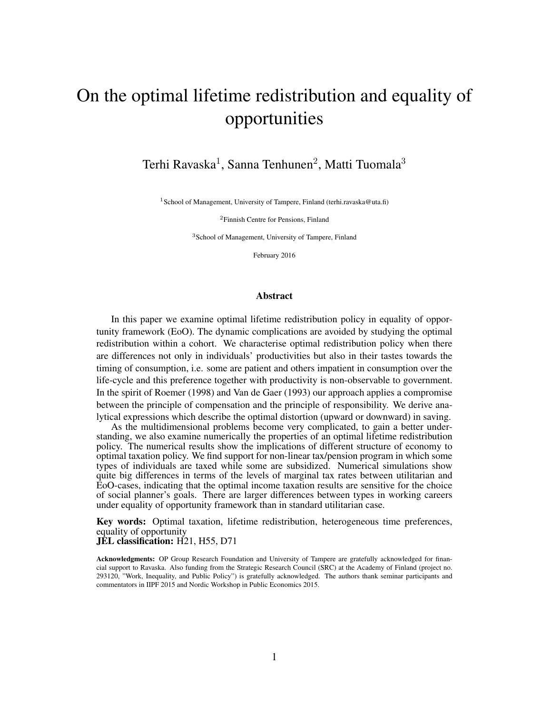# On the optimal lifetime redistribution and equality of opportunities

Terhi Ravaska $^1$ , Sanna Tenhunen $^2$ , Matti Tuomala $^3$ 

<sup>1</sup> School of Management, University of Tampere, Finland (terhi.ravaska@uta.fi)

<sup>2</sup>Finnish Centre for Pensions, Finland

<sup>3</sup>School of Management, University of Tampere, Finland

February 2016

#### Abstract

In this paper we examine optimal lifetime redistribution policy in equality of opportunity framework (EoO). The dynamic complications are avoided by studying the optimal redistribution within a cohort. We characterise optimal redistribution policy when there are differences not only in individuals' productivities but also in their tastes towards the timing of consumption, i.e. some are patient and others impatient in consumption over the life-cycle and this preference together with productivity is non-observable to government. In the spirit of Roemer (1998) and Van de Gaer (1993) our approach applies a compromise between the principle of compensation and the principle of responsibility. We derive analytical expressions which describe the optimal distortion (upward or downward) in saving.

As the multidimensional problems become very complicated, to gain a better understanding, we also examine numerically the properties of an optimal lifetime redistribution policy. The numerical results show the implications of different structure of economy to optimal taxation policy. We find support for non-linear tax/pension program in which some types of individuals are taxed while some are subsidized. Numerical simulations show quite big differences in terms of the levels of marginal tax rates between utilitarian and EoO-cases, indicating that the optimal income taxation results are sensitive for the choice of social planner's goals. There are larger differences between types in working careers under equality of opportunity framework than in standard utilitarian case.

Key words: Optimal taxation, lifetime redistribution, heterogeneous time preferences, equality of opportunity

JEL classification: H21, H55, D71

Acknowledgments: OP Group Research Foundation and University of Tampere are gratefully acknowledged for financial support to Ravaska. Also funding from the Strategic Research Council (SRC) at the Academy of Finland (project no. 293120, "Work, Inequality, and Public Policy") is gratefully acknowledged. The authors thank seminar participants and commentators in IIPF 2015 and Nordic Workshop in Public Economics 2015.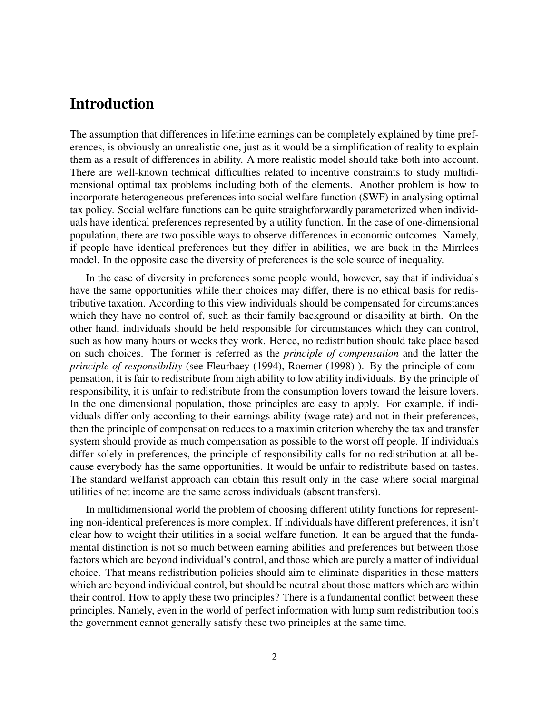### Introduction

The assumption that differences in lifetime earnings can be completely explained by time preferences, is obviously an unrealistic one, just as it would be a simplification of reality to explain them as a result of differences in ability. A more realistic model should take both into account. There are well-known technical difficulties related to incentive constraints to study multidimensional optimal tax problems including both of the elements. Another problem is how to incorporate heterogeneous preferences into social welfare function (SWF) in analysing optimal tax policy. Social welfare functions can be quite straightforwardly parameterized when individuals have identical preferences represented by a utility function. In the case of one-dimensional population, there are two possible ways to observe differences in economic outcomes. Namely, if people have identical preferences but they differ in abilities, we are back in the Mirrlees model. In the opposite case the diversity of preferences is the sole source of inequality.

In the case of diversity in preferences some people would, however, say that if individuals have the same opportunities while their choices may differ, there is no ethical basis for redistributive taxation. According to this view individuals should be compensated for circumstances which they have no control of, such as their family background or disability at birth. On the other hand, individuals should be held responsible for circumstances which they can control, such as how many hours or weeks they work. Hence, no redistribution should take place based on such choices. The former is referred as the *principle of compensation* and the latter the *principle of responsibility* (see Fleurbaey (1994), Roemer (1998) ). By the principle of compensation, it is fair to redistribute from high ability to low ability individuals. By the principle of responsibility, it is unfair to redistribute from the consumption lovers toward the leisure lovers. In the one dimensional population, those principles are easy to apply. For example, if individuals differ only according to their earnings ability (wage rate) and not in their preferences, then the principle of compensation reduces to a maximin criterion whereby the tax and transfer system should provide as much compensation as possible to the worst off people. If individuals differ solely in preferences, the principle of responsibility calls for no redistribution at all because everybody has the same opportunities. It would be unfair to redistribute based on tastes. The standard welfarist approach can obtain this result only in the case where social marginal utilities of net income are the same across individuals (absent transfers).

In multidimensional world the problem of choosing different utility functions for representing non-identical preferences is more complex. If individuals have different preferences, it isn't clear how to weight their utilities in a social welfare function. It can be argued that the fundamental distinction is not so much between earning abilities and preferences but between those factors which are beyond individual's control, and those which are purely a matter of individual choice. That means redistribution policies should aim to eliminate disparities in those matters which are beyond individual control, but should be neutral about those matters which are within their control. How to apply these two principles? There is a fundamental conflict between these principles. Namely, even in the world of perfect information with lump sum redistribution tools the government cannot generally satisfy these two principles at the same time.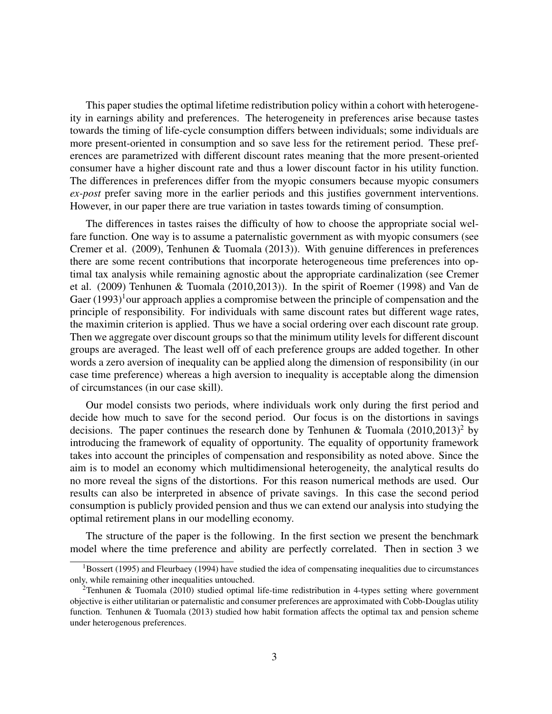This paper studies the optimal lifetime redistribution policy within a cohort with heterogeneity in earnings ability and preferences. The heterogeneity in preferences arise because tastes towards the timing of life-cycle consumption differs between individuals; some individuals are more present-oriented in consumption and so save less for the retirement period. These preferences are parametrized with different discount rates meaning that the more present-oriented consumer have a higher discount rate and thus a lower discount factor in his utility function. The differences in preferences differ from the myopic consumers because myopic consumers *ex-post* prefer saving more in the earlier periods and this justifies government interventions. However, in our paper there are true variation in tastes towards timing of consumption.

The differences in tastes raises the difficulty of how to choose the appropriate social welfare function. One way is to assume a paternalistic government as with myopic consumers (see Cremer et al. (2009), Tenhunen & Tuomala (2013)). With genuine differences in preferences there are some recent contributions that incorporate heterogeneous time preferences into optimal tax analysis while remaining agnostic about the appropriate cardinalization (see Cremer et al. (2009) Tenhunen & Tuomala (2010,2013)). In the spirit of Roemer (1998) and Van de Gaer  $(1993)^1$  our approach applies a compromise between the principle of compensation and the principle of responsibility. For individuals with same discount rates but different wage rates, the maximin criterion is applied. Thus we have a social ordering over each discount rate group. Then we aggregate over discount groups so that the minimum utility levels for different discount groups are averaged. The least well off of each preference groups are added together. In other words a zero aversion of inequality can be applied along the dimension of responsibility (in our case time preference) whereas a high aversion to inequality is acceptable along the dimension of circumstances (in our case skill).

Our model consists two periods, where individuals work only during the first period and decide how much to save for the second period. Our focus is on the distortions in savings decisions. The paper continues the research done by Tenhunen & Tuomala  $(2010,2013)^2$  by introducing the framework of equality of opportunity. The equality of opportunity framework takes into account the principles of compensation and responsibility as noted above. Since the aim is to model an economy which multidimensional heterogeneity, the analytical results do no more reveal the signs of the distortions. For this reason numerical methods are used. Our results can also be interpreted in absence of private savings. In this case the second period consumption is publicly provided pension and thus we can extend our analysis into studying the optimal retirement plans in our modelling economy.

The structure of the paper is the following. In the first section we present the benchmark model where the time preference and ability are perfectly correlated. Then in section 3 we

<sup>&</sup>lt;sup>1</sup>Bossert (1995) and Fleurbaey (1994) have studied the idea of compensating inequalities due to circumstances only, while remaining other inequalities untouched.

<sup>2</sup>Tenhunen & Tuomala (2010) studied optimal life-time redistribution in 4-types setting where government objective is either utilitarian or paternalistic and consumer preferences are approximated with Cobb-Douglas utility function. Tenhunen & Tuomala (2013) studied how habit formation affects the optimal tax and pension scheme under heterogenous preferences.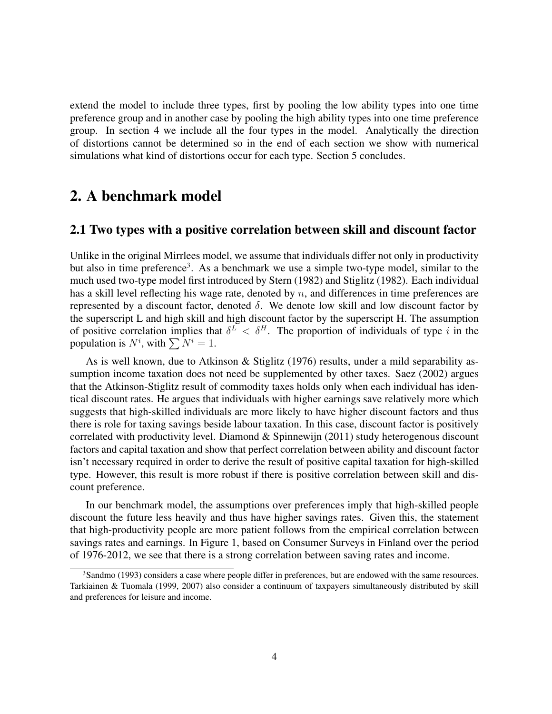extend the model to include three types, first by pooling the low ability types into one time preference group and in another case by pooling the high ability types into one time preference group. In section 4 we include all the four types in the model. Analytically the direction of distortions cannot be determined so in the end of each section we show with numerical simulations what kind of distortions occur for each type. Section 5 concludes.

## 2. A benchmark model

#### 2.1 Two types with a positive correlation between skill and discount factor

Unlike in the original Mirrlees model, we assume that individuals differ not only in productivity but also in time preference<sup>3</sup>. As a benchmark we use a simple two-type model, similar to the much used two-type model first introduced by Stern (1982) and Stiglitz (1982). Each individual has a skill level reflecting his wage rate, denoted by  $n$ , and differences in time preferences are represented by a discount factor, denoted  $\delta$ . We denote low skill and low discount factor by the superscript L and high skill and high discount factor by the superscript H. The assumption of positive correlation implies that  $\delta^L < \delta^H$ . The proportion of individuals of type i in the population is  $N^i$ , with  $\sum N^i = 1$ .

As is well known, due to Atkinson & Stiglitz (1976) results, under a mild separability assumption income taxation does not need be supplemented by other taxes. Saez (2002) argues that the Atkinson-Stiglitz result of commodity taxes holds only when each individual has identical discount rates. He argues that individuals with higher earnings save relatively more which suggests that high-skilled individuals are more likely to have higher discount factors and thus there is role for taxing savings beside labour taxation. In this case, discount factor is positively correlated with productivity level. Diamond & Spinnewijn (2011) study heterogenous discount factors and capital taxation and show that perfect correlation between ability and discount factor isn't necessary required in order to derive the result of positive capital taxation for high-skilled type. However, this result is more robust if there is positive correlation between skill and discount preference.

In our benchmark model, the assumptions over preferences imply that high-skilled people discount the future less heavily and thus have higher savings rates. Given this, the statement that high-productivity people are more patient follows from the empirical correlation between savings rates and earnings. In Figure 1, based on Consumer Surveys in Finland over the period of 1976-2012, we see that there is a strong correlation between saving rates and income.

<sup>&</sup>lt;sup>3</sup>Sandmo (1993) considers a case where people differ in preferences, but are endowed with the same resources. Tarkiainen & Tuomala (1999, 2007) also consider a continuum of taxpayers simultaneously distributed by skill and preferences for leisure and income.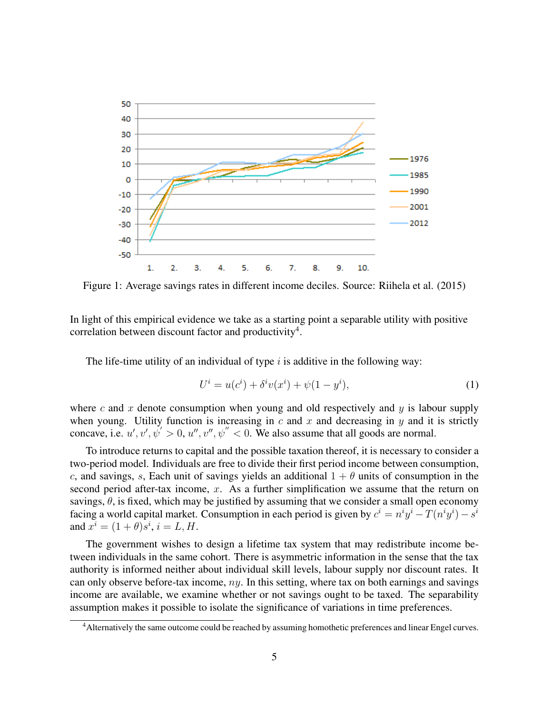

Figure 1: Average savings rates in different income deciles. Source: Riihela et al. (2015)

In light of this empirical evidence we take as a starting point a separable utility with positive correlation between discount factor and productivity<sup>4</sup>.

The life-time utility of an individual of type  $i$  is additive in the following way:

$$
U^{i} = u(c^{i}) + \delta^{i} v(x^{i}) + \psi(1 - y^{i}),
$$
\n(1)

where c and x denote consumption when young and old respectively and  $y$  is labour supply when young. Utility function is increasing in  $c$  and  $x$  and decreasing in  $y$  and it is strictly concave, i.e.  $u', v', \psi' > 0, u'', v'', \psi'' < 0$ . We also assume that all goods are normal.

To introduce returns to capital and the possible taxation thereof, it is necessary to consider a two-period model. Individuals are free to divide their first period income between consumption, c, and savings, s, Each unit of savings yields an additional  $1 + \theta$  units of consumption in the second period after-tax income,  $x$ . As a further simplification we assume that the return on savings,  $\theta$ , is fixed, which may be justified by assuming that we consider a small open economy facing a world capital market. Consumption in each period is given by  $c^i = n^i y^i - T(n^i y^i) - s^i$ and  $x^{i} = (1 + \theta)s^{i}$ ,  $i = L, H$ .

The government wishes to design a lifetime tax system that may redistribute income between individuals in the same cohort. There is asymmetric information in the sense that the tax authority is informed neither about individual skill levels, labour supply nor discount rates. It can only observe before-tax income,  $ny$ . In this setting, where tax on both earnings and savings income are available, we examine whether or not savings ought to be taxed. The separability assumption makes it possible to isolate the significance of variations in time preferences.

<sup>4</sup>Alternatively the same outcome could be reached by assuming homothetic preferences and linear Engel curves.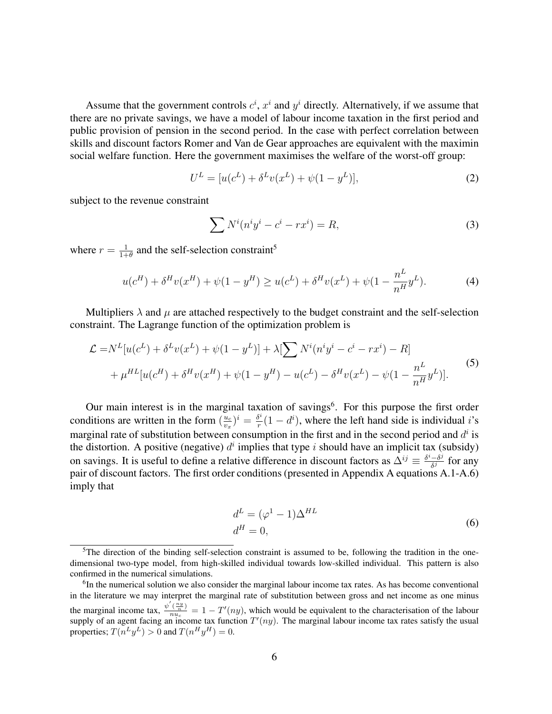Assume that the government controls  $c^i$ ,  $x^i$  and  $y^i$  directly. Alternatively, if we assume that there are no private savings, we have a model of labour income taxation in the first period and public provision of pension in the second period. In the case with perfect correlation between skills and discount factors Romer and Van de Gear approaches are equivalent with the maximin social welfare function. Here the government maximises the welfare of the worst-off group:

$$
U^{L} = [u(c^{L}) + \delta^{L} v(x^{L}) + \psi(1 - y^{L})],
$$
\n(2)

subject to the revenue constraint

$$
\sum N^i (n^i y^i - c^i - rx^i) = R,\tag{3}
$$

where  $r = \frac{1}{1+1}$  $\frac{1}{1+\theta}$  and the self-selection constraint<sup>5</sup>

$$
u(c^H) + \delta^H v(x^H) + \psi(1 - y^H) \ge u(c^L) + \delta^H v(x^L) + \psi(1 - \frac{n^L}{n^H} y^L). \tag{4}
$$

Multipliers  $\lambda$  and  $\mu$  are attached respectively to the budget constraint and the self-selection constraint. The Lagrange function of the optimization problem is

$$
\mathcal{L} = N^{L}[u(c^{L}) + \delta^{L}v(x^{L}) + \psi(1 - y^{L})] + \lambda[\sum N^{i}(n^{i}y^{i} - c^{i} - rx^{i}) - R] + \mu^{HL}[u(c^{H}) + \delta^{H}v(x^{H}) + \psi(1 - y^{H}) - u(c^{L}) - \delta^{H}v(x^{L}) - \psi(1 - \frac{n^{L}}{n^{H}}y^{L})].
$$
\n(5)

Our main interest is in the marginal taxation of savings<sup>6</sup>. For this purpose the first order conditions are written in the form  $\left(\frac{u_c}{v}\right)$  $\frac{u_c}{v_x}$ ) $i = \frac{\delta^i}{r}$  $\frac{\delta^2}{r}(1-d^i)$ , where the left hand side is individual *i*'s marginal rate of substitution between consumption in the first and in the second period and  $d^i$  is the distortion. A positive (negative)  $d^i$  implies that type i should have an implicit tax (subsidy) on savings. It is useful to define a relative difference in discount factors as  $\Delta^{ij} \equiv \frac{\delta^i - \delta^j}{\delta^j}$  $\frac{\partial}{\partial \theta}$  for any pair of discount factors. The first order conditions (presented in Appendix A equations A.1-A.6) imply that

$$
d^{L} = (\varphi^{1} - 1)\Delta^{HL}
$$
  
\n
$$
d^{H} = 0,
$$
\n(6)

 ${}^{5}$ The direction of the binding self-selection constraint is assumed to be, following the tradition in the onedimensional two-type model, from high-skilled individual towards low-skilled individual. This pattern is also confirmed in the numerical simulations.

<sup>&</sup>lt;sup>6</sup>In the numerical solution we also consider the marginal labour income tax rates. As has become conventional in the literature we may interpret the marginal rate of substitution between gross and net income as one minus the marginal income tax,  $\frac{\psi'(\frac{ny}{n})}{n y}$  $\frac{(\frac{n}{n})}{n u_c} = 1 - T'(ny)$ , which would be equivalent to the characterisation of the labour supply of an agent facing an income tax function  $T'(ny)$ . The marginal labour income tax rates satisfy the usual properties;  $T(n^Ly^L) > 0$  and  $T(n^Hy^H) = 0$ .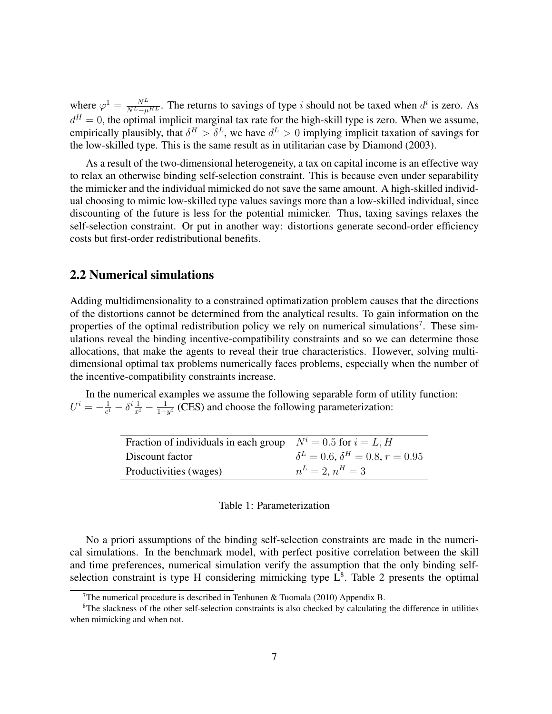where  $\varphi^1 = \frac{N^L}{N^L - \mu^H L}$ . The returns to savings of type *i* should not be taxed when  $d^i$  is zero. As  $d^H = 0$ , the optimal implicit marginal tax rate for the high-skill type is zero. When we assume, empirically plausibly, that  $\delta^H > \delta^L$ , we have  $d^L > 0$  implying implicit taxation of savings for the low-skilled type. This is the same result as in utilitarian case by Diamond (2003).

As a result of the two-dimensional heterogeneity, a tax on capital income is an effective way to relax an otherwise binding self-selection constraint. This is because even under separability the mimicker and the individual mimicked do not save the same amount. A high-skilled individual choosing to mimic low-skilled type values savings more than a low-skilled individual, since discounting of the future is less for the potential mimicker. Thus, taxing savings relaxes the self-selection constraint. Or put in another way: distortions generate second-order efficiency costs but first-order redistributional benefits.

#### 2.2 Numerical simulations

Adding multidimensionality to a constrained optimatization problem causes that the directions of the distortions cannot be determined from the analytical results. To gain information on the properties of the optimal redistribution policy we rely on numerical simulations<sup>7</sup>. These simulations reveal the binding incentive-compatibility constraints and so we can determine those allocations, that make the agents to reveal their true characteristics. However, solving multidimensional optimal tax problems numerically faces problems, especially when the number of the incentive-compatibility constraints increase.

In the numerical examples we assume the following separable form of utility function:  $U^i = -\frac{1}{c^i}$  $\frac{1}{c^i} - \delta^i \frac{1}{x^i} - \frac{1}{1-}$  $\frac{1}{1-y^i}$  (CES) and choose the following parameterization:

| Fraction of individuals in each group $N^i = 0.5$ for $i = L, H$ |                                                  |
|------------------------------------------------------------------|--------------------------------------------------|
| Discount factor                                                  | $\delta^L = 0.6$ , $\delta^H = 0.8$ , $r = 0.95$ |
| Productivities (wages)                                           | $n^L = 2, n^H = 3$                               |

#### Table 1: Parameterization

No a priori assumptions of the binding self-selection constraints are made in the numerical simulations. In the benchmark model, with perfect positive correlation between the skill and time preferences, numerical simulation verify the assumption that the only binding selfselection constraint is type H considering mimicking type  $L^8$ . Table 2 presents the optimal

<sup>&</sup>lt;sup>7</sup>The numerical procedure is described in Tenhunen & Tuomala (2010) Appendix B.

 ${}^{8}$ The slackness of the other self-selection constraints is also checked by calculating the difference in utilities when mimicking and when not.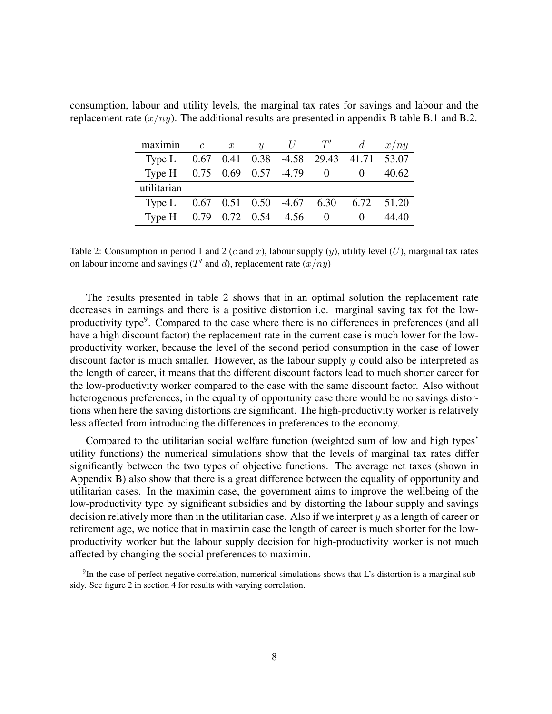| maximin                       | $\overline{c}$ | $\overline{x}$ |                              | y $U$ $T'$ | $d -$                                      | x/ny  |
|-------------------------------|----------------|----------------|------------------------------|------------|--------------------------------------------|-------|
| Type L                        |                |                |                              |            | 0.67 0.41 0.38 -4.58 29.43 41.71 53.07     |       |
| Type H 0.75 0.69 0.57 -4.79 0 |                |                |                              |            |                                            | 40.62 |
| utilitarian                   |                |                |                              |            |                                            |       |
| Type L                        |                |                |                              |            | $0.67$ $0.51$ $0.50$ $-4.67$ $6.30$ $6.72$ | 51.20 |
| Type H                        |                |                | $0.79$ $0.72$ $0.54$ $-4.56$ | $\bigcirc$ |                                            | 44.40 |

consumption, labour and utility levels, the marginal tax rates for savings and labour and the replacement rate  $(x/ny)$ . The additional results are presented in appendix B table B.1 and B.2.

Table 2: Consumption in period 1 and 2 (c and x), labour supply  $(y)$ , utility level  $(U)$ , marginal tax rates on labour income and savings (T' and d), replacement rate  $(x/ny)$ 

The results presented in table 2 shows that in an optimal solution the replacement rate decreases in earnings and there is a positive distortion i.e. marginal saving tax fot the lowproductivity type<sup>9</sup>. Compared to the case where there is no differences in preferences (and all have a high discount factor) the replacement rate in the current case is much lower for the lowproductivity worker, because the level of the second period consumption in the case of lower discount factor is much smaller. However, as the labour supply  $y$  could also be interpreted as the length of career, it means that the different discount factors lead to much shorter career for the low-productivity worker compared to the case with the same discount factor. Also without heterogenous preferences, in the equality of opportunity case there would be no savings distortions when here the saving distortions are significant. The high-productivity worker is relatively less affected from introducing the differences in preferences to the economy.

Compared to the utilitarian social welfare function (weighted sum of low and high types' utility functions) the numerical simulations show that the levels of marginal tax rates differ significantly between the two types of objective functions. The average net taxes (shown in Appendix B) also show that there is a great difference between the equality of opportunity and utilitarian cases. In the maximin case, the government aims to improve the wellbeing of the low-productivity type by significant subsidies and by distorting the labour supply and savings decision relatively more than in the utilitarian case. Also if we interpret  $y$  as a length of career or retirement age, we notice that in maximin case the length of career is much shorter for the lowproductivity worker but the labour supply decision for high-productivity worker is not much affected by changing the social preferences to maximin.

 $9$ In the case of perfect negative correlation, numerical simulations shows that L's distortion is a marginal subsidy. See figure 2 in section 4 for results with varying correlation.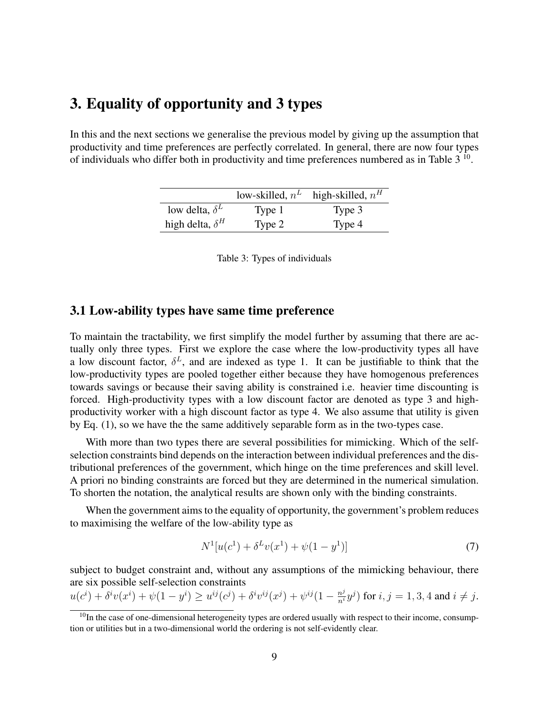## 3. Equality of opportunity and 3 types

In this and the next sections we generalise the previous model by giving up the assumption that productivity and time preferences are perfectly correlated. In general, there are now four types of individuals who differ both in productivity and time preferences numbered as in Table  $3<sup>10</sup>$ .

|                        | low-skilled, $n^L$ | high-skilled, $n^H$ |
|------------------------|--------------------|---------------------|
| low delta, $\delta^L$  | Type 1             | Type 3              |
| high delta, $\delta^H$ | Type 2             | Type 4              |

| Table 3: Types of individuals |  |  |
|-------------------------------|--|--|
|                               |  |  |

#### 3.1 Low-ability types have same time preference

To maintain the tractability, we first simplify the model further by assuming that there are actually only three types. First we explore the case where the low-productivity types all have a low discount factor,  $\delta^L$ , and are indexed as type 1. It can be justifiable to think that the low-productivity types are pooled together either because they have homogenous preferences towards savings or because their saving ability is constrained i.e. heavier time discounting is forced. High-productivity types with a low discount factor are denoted as type 3 and highproductivity worker with a high discount factor as type 4. We also assume that utility is given by Eq. (1), so we have the the same additively separable form as in the two-types case.

With more than two types there are several possibilities for mimicking. Which of the selfselection constraints bind depends on the interaction between individual preferences and the distributional preferences of the government, which hinge on the time preferences and skill level. A priori no binding constraints are forced but they are determined in the numerical simulation. To shorten the notation, the analytical results are shown only with the binding constraints.

When the government aims to the equality of opportunity, the government's problem reduces to maximising the welfare of the low-ability type as

$$
N^{1}[u(c^{1}) + \delta^{L}v(x^{1}) + \psi(1 - y^{1})]
$$
\n(7)

subject to budget constraint and, without any assumptions of the mimicking behaviour, there are six possible self-selection constraints

$$
u(c^i) + \delta^i v(x^i) + \psi(1 - y^i) \ge u^{ij}(c^j) + \delta^i v^{ij}(x^j) + \psi^{ij}(1 - \frac{n^j}{n^i}y^j) \text{ for } i, j = 1, 3, 4 \text{ and } i \ne j.
$$

<sup>&</sup>lt;sup>10</sup>In the case of one-dimensional heterogeneity types are ordered usually with respect to their income, consumption or utilities but in a two-dimensional world the ordering is not self-evidently clear.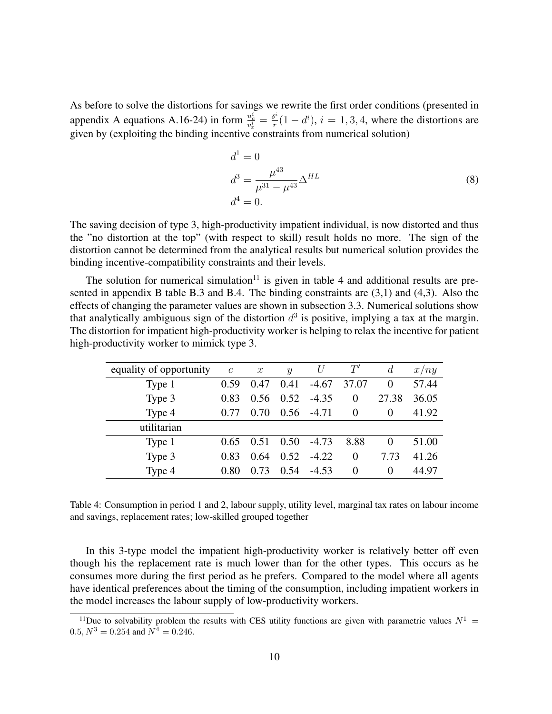As before to solve the distortions for savings we rewrite the first order conditions (presented in appendix A equations A.16-24) in form  $\frac{u_c^i}{v_x^i} = \frac{\delta^i}{r}$  $r_r^{s_i}(1-d_i^i)$ ,  $i=1,3,4$ , where the distortions are given by (exploiting the binding incentive constraints from numerical solution)

$$
d^{1} = 0
$$
  
\n
$$
d^{3} = \frac{\mu^{43}}{\mu^{31} - \mu^{43}} \Delta^{HL}
$$
  
\n
$$
d^{4} = 0.
$$
\n(8)

The saving decision of type 3, high-productivity impatient individual, is now distorted and thus the "no distortion at the top" (with respect to skill) result holds no more. The sign of the distortion cannot be determined from the analytical results but numerical solution provides the binding incentive-compatibility constraints and their levels.

The solution for numerical simulation<sup>11</sup> is given in table 4 and additional results are presented in appendix B table B.3 and B.4. The binding constraints are (3,1) and (4,3). Also the effects of changing the parameter values are shown in subsection 3.3. Numerical solutions show that analytically ambiguous sign of the distortion  $d^3$  is positive, implying a tax at the margin. The distortion for impatient high-productivity worker is helping to relax the incentive for patient high-productivity worker to mimick type 3.

| equality of opportunity | $\mathcal{C}_{0}^{0}$ | $\boldsymbol{x}$ | $\boldsymbol{y}$ | U       | $T^{\prime}$ | d        | x/ny  |
|-------------------------|-----------------------|------------------|------------------|---------|--------------|----------|-------|
| Type 1                  | 0.59                  | 0.47             | 0.41             | $-4.67$ | 37.07        | $\theta$ | 57.44 |
| Type 3                  | 0.83                  | 0.56             | 0.52             | $-4.35$ | $\Omega$     | 27.38    | 36.05 |
| Type 4                  | 0.77                  | 0.70             | 0.56             | $-4.71$ | $\Omega$     | $\Omega$ | 41.92 |
| utilitarian             |                       |                  |                  |         |              |          |       |
| Type 1                  | 0.65                  | 0.51             | 0.50             | $-4.73$ | 8.88         | $\theta$ | 51.00 |
| Type 3                  | 0.83                  | 0.64             | 0.52             | $-4.22$ | $\Omega$     | 7.73     | 41.26 |
| Type 4                  | 0.80                  | 0.73             | 0.54             | $-4.53$ | $\Omega$     | $\Omega$ | 44.97 |

Table 4: Consumption in period 1 and 2, labour supply, utility level, marginal tax rates on labour income and savings, replacement rates; low-skilled grouped together

In this 3-type model the impatient high-productivity worker is relatively better off even though his the replacement rate is much lower than for the other types. This occurs as he consumes more during the first period as he prefers. Compared to the model where all agents have identical preferences about the timing of the consumption, including impatient workers in the model increases the labour supply of low-productivity workers.

<sup>&</sup>lt;sup>11</sup>Due to solvability problem the results with CES utility functions are given with parametric values  $N^1$  =  $0.5, N^3 = 0.254$  and  $N^4 = 0.246$ .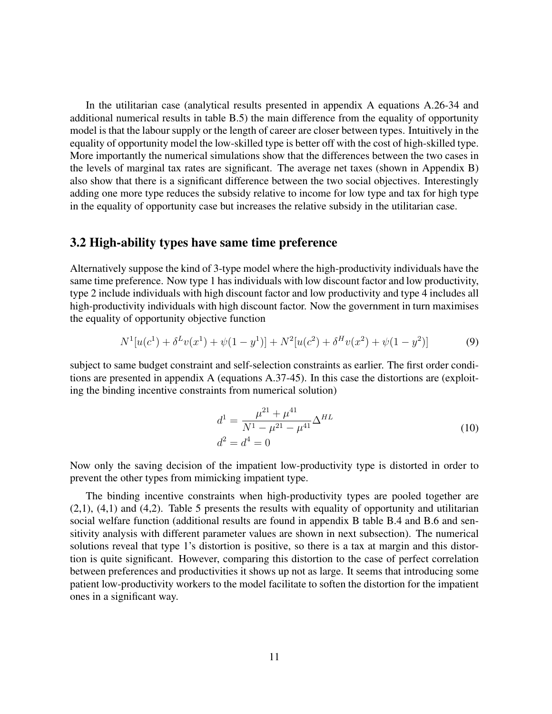In the utilitarian case (analytical results presented in appendix A equations A.26-34 and additional numerical results in table B.5) the main difference from the equality of opportunity model is that the labour supply or the length of career are closer between types. Intuitively in the equality of opportunity model the low-skilled type is better off with the cost of high-skilled type. More importantly the numerical simulations show that the differences between the two cases in the levels of marginal tax rates are significant. The average net taxes (shown in Appendix B) also show that there is a significant difference between the two social objectives. Interestingly adding one more type reduces the subsidy relative to income for low type and tax for high type in the equality of opportunity case but increases the relative subsidy in the utilitarian case.

#### 3.2 High-ability types have same time preference

Alternatively suppose the kind of 3-type model where the high-productivity individuals have the same time preference. Now type 1 has individuals with low discount factor and low productivity, type 2 include individuals with high discount factor and low productivity and type 4 includes all high-productivity individuals with high discount factor. Now the government in turn maximises the equality of opportunity objective function

$$
N^{1}[u(c^{1}) + \delta^{L}v(x^{1}) + \psi(1 - y^{1})] + N^{2}[u(c^{2}) + \delta^{H}v(x^{2}) + \psi(1 - y^{2})]
$$
\n(9)

subject to same budget constraint and self-selection constraints as earlier. The first order conditions are presented in appendix A (equations A.37-45). In this case the distortions are (exploiting the binding incentive constraints from numerical solution)

$$
d^{1} = \frac{\mu^{21} + \mu^{41}}{N^{1} - \mu^{21} - \mu^{41}} \Delta^{HL}
$$
  

$$
d^{2} = d^{4} = 0
$$
 (10)

Now only the saving decision of the impatient low-productivity type is distorted in order to prevent the other types from mimicking impatient type.

The binding incentive constraints when high-productivity types are pooled together are  $(2,1)$ ,  $(4,1)$  and  $(4,2)$ . Table 5 presents the results with equality of opportunity and utilitarian social welfare function (additional results are found in appendix B table B.4 and B.6 and sensitivity analysis with different parameter values are shown in next subsection). The numerical solutions reveal that type 1's distortion is positive, so there is a tax at margin and this distortion is quite significant. However, comparing this distortion to the case of perfect correlation between preferences and productivities it shows up not as large. It seems that introducing some patient low-productivity workers to the model facilitate to soften the distortion for the impatient ones in a significant way.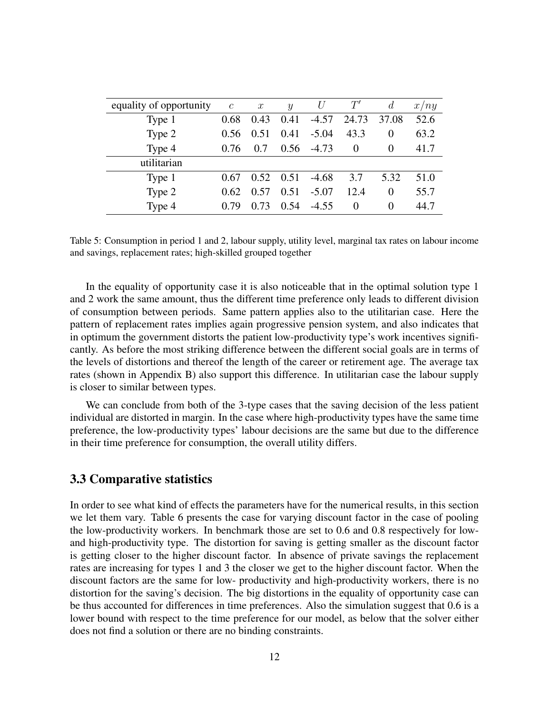| equality of opportunity | $\mathcal{C}_{0}^{0}$ | $\boldsymbol{x}$ | $\mathcal{Y}$ | U       | T'       | $\overline{d}$    | x/ny |
|-------------------------|-----------------------|------------------|---------------|---------|----------|-------------------|------|
| Type 1                  | 0.68                  | 0.43             | 0.41          | $-4.57$ | 24.73    | 37.08             | 52.6 |
| Type 2                  | 0.56                  | 0.51             | 0.41          | $-5.04$ | 43.3     | $\theta$          | 63.2 |
| Type 4                  | 0.76                  | 0.7              | 0.56          | -4.73   | $\theta$ | 0                 | 41.7 |
| utilitarian             |                       |                  |               |         |          |                   |      |
| Type 1                  | 0.67                  | 0.52             | 0.51          | $-4.68$ | 3.7      | 5.32              | 51.0 |
| Type 2                  | 0.62                  | 0.57             | 0.51          | $-5.07$ | 12.4     | 0                 | 55.7 |
| Type 4                  | 79                    | 0.73             | 0.54          | $-4.55$ | 0        | $\mathbf{\Omega}$ | 44.7 |

Table 5: Consumption in period 1 and 2, labour supply, utility level, marginal tax rates on labour income and savings, replacement rates; high-skilled grouped together

In the equality of opportunity case it is also noticeable that in the optimal solution type 1 and 2 work the same amount, thus the different time preference only leads to different division of consumption between periods. Same pattern applies also to the utilitarian case. Here the pattern of replacement rates implies again progressive pension system, and also indicates that in optimum the government distorts the patient low-productivity type's work incentives significantly. As before the most striking difference between the different social goals are in terms of the levels of distortions and thereof the length of the career or retirement age. The average tax rates (shown in Appendix B) also support this difference. In utilitarian case the labour supply is closer to similar between types.

We can conclude from both of the 3-type cases that the saving decision of the less patient individual are distorted in margin. In the case where high-productivity types have the same time preference, the low-productivity types' labour decisions are the same but due to the difference in their time preference for consumption, the overall utility differs.

#### 3.3 Comparative statistics

In order to see what kind of effects the parameters have for the numerical results, in this section we let them vary. Table 6 presents the case for varying discount factor in the case of pooling the low-productivity workers. In benchmark those are set to 0.6 and 0.8 respectively for lowand high-productivity type. The distortion for saving is getting smaller as the discount factor is getting closer to the higher discount factor. In absence of private savings the replacement rates are increasing for types 1 and 3 the closer we get to the higher discount factor. When the discount factors are the same for low- productivity and high-productivity workers, there is no distortion for the saving's decision. The big distortions in the equality of opportunity case can be thus accounted for differences in time preferences. Also the simulation suggest that 0.6 is a lower bound with respect to the time preference for our model, as below that the solver either does not find a solution or there are no binding constraints.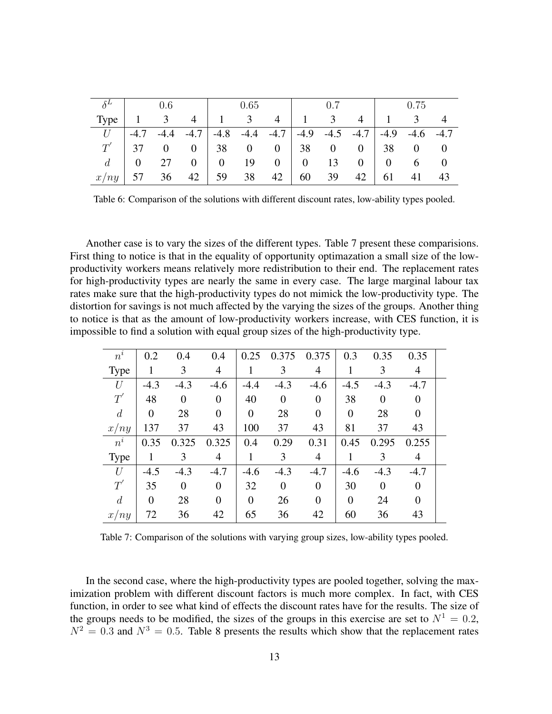|         | 0.6      |                |                | 0.65                |     |                             | 0.7            |              |                      | 0.75     |                |                   |
|---------|----------|----------------|----------------|---------------------|-----|-----------------------------|----------------|--------------|----------------------|----------|----------------|-------------------|
| Type    |          | 3              | 4              | $\sim 1$ and $\sim$ | 3   | 4                           | 1              | 3            | $\overline{4}$       |          | 3 <sup>7</sup> |                   |
| U       | $-4.7$   | $-4.4$         |                |                     |     | $-4.7$ $-4.8$ $-4.4$ $-4.7$ |                |              | $-4.9$ $-4.5$ $-4.7$ | $-4.9$   | $-4.6$ $-4.7$  |                   |
| $T^{'}$ | 37       | $\overline{0}$ |                |                     |     | $0 \mid 38 \mid 0 \mid 38$  |                | $\mathbf{0}$ | 0                    | 38       |                | $0 \qquad 0$      |
| d       | $\theta$ | 27             | 0 <sup>1</sup> | 0                   | -19 | 0                           | $\overline{0}$ | 13           | 0 <sup>1</sup>       | $\Omega$ | 6              | $\hspace{0.1em}0$ |
| x/ny    | 57       | 36             | 42             | 59                  | 38  | 42                          | 60             | 39           | 42                   | 61       |                | 43                |

Table 6: Comparison of the solutions with different discount rates, low-ability types pooled.

Another case is to vary the sizes of the different types. Table 7 present these comparisions. First thing to notice is that in the equality of opportunity optimazation a small size of the lowproductivity workers means relatively more redistribution to their end. The replacement rates for high-productivity types are nearly the same in every case. The large marginal labour tax rates make sure that the high-productivity types do not mimick the low-productivity type. The distortion for savings is not much affected by the varying the sizes of the groups. Another thing to notice is that as the amount of low-productivity workers increase, with CES function, it is impossible to find a solution with equal group sizes of the high-productivity type.

| $n^i$          | 0.2            | 0.4            | 0.4            | 0.25           | 0.375          | 0.375          | 0.3            | 0.35     | 0.35     |  |
|----------------|----------------|----------------|----------------|----------------|----------------|----------------|----------------|----------|----------|--|
| Type           | 1              | 3              | $\overline{4}$ | 1              | 3              | 4              | 1              | 3        | 4        |  |
| U              | $-4.3$         | $-4.3$         | $-4.6$         | $-4.4$         | $-4.3$         | $-4.6$         | $-4.5$         | $-4.3$   | $-4.7$   |  |
| $T^{'}$        | 48             | $\overline{0}$ | $\theta$       | 40             | $\overline{0}$ | $\overline{0}$ | 38             | $\theta$ | $\theta$ |  |
| $\overline{d}$ | $\overline{0}$ | 28             | $\theta$       | $\overline{0}$ | 28             | $\Omega$       | $\theta$       | 28       | $\Omega$ |  |
| x/ny           | 137            | 37             | 43             | 100            | 37             | 43             | 81             | 37       | 43       |  |
| $n^i$          | 0.35           | 0.325          | 0.325          | 0.4            | 0.29           | 0.31           | 0.45           | 0.295    | 0.255    |  |
| <b>Type</b>    | 1              | 3              | 4              | 1              | 3              | 4              | 1              | 3        | 4        |  |
| U              | $-4.5$         | $-4.3$         | $-4.7$         | $-4.6$         | $-4.3$         | $-4.7$         | $-4.6$         | $-4.3$   | $-4.7$   |  |
| $T^{\prime}$   | 35             | $\Omega$       | $\theta$       | 32             | $\theta$       | $\theta$       | 30             | $\Omega$ | $\Omega$ |  |
| $\overline{d}$ | $\overline{0}$ | 28             | $\theta$       | $\overline{0}$ | 26             | $\theta$       | $\overline{0}$ | 24       | $\theta$ |  |
| x/ny           | 72             | 36             | 42             | 65             | 36             | 42             | 60             | 36       | 43       |  |

Table 7: Comparison of the solutions with varying group sizes, low-ability types pooled.

In the second case, where the high-productivity types are pooled together, solving the maximization problem with different discount factors is much more complex. In fact, with CES function, in order to see what kind of effects the discount rates have for the results. The size of the groups needs to be modified, the sizes of the groups in this exercise are set to  $N^1 = 0.2$ ,  $N^2 = 0.3$  and  $N^3 = 0.5$ . Table 8 presents the results which show that the replacement rates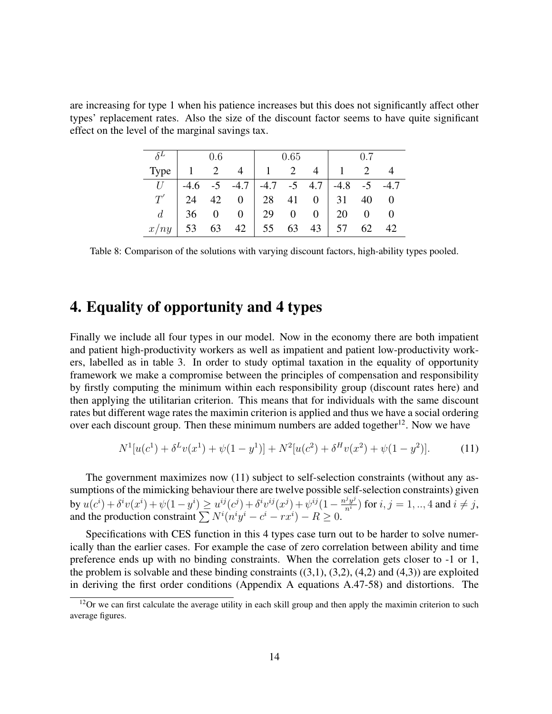are increasing for type 1 when his patience increases but this does not significantly affect other types' replacement rates. Also the size of the discount factor seems to have quite significant effect on the level of the marginal savings tax.

|                              |                                                               | 0.6 |                   | $\vert$ 0.65 |  |  | $\sim$ 0.7               |  |       |
|------------------------------|---------------------------------------------------------------|-----|-------------------|--------------|--|--|--------------------------|--|-------|
| Type $1 \t 2 \t 4 \t 1 \t 2$ |                                                               |     |                   |              |  |  | $4 \mid 1 \mid 2 \mid 4$ |  |       |
|                              | $U$ -4.6 -5 -4.7 -4.7 -5 4.7 -4.8 -5 -4.7                     |     |                   |              |  |  |                          |  |       |
|                              | $T'$   24 42 0   28 41 0   31 40 0                            |     |                   |              |  |  |                          |  |       |
|                              | $d \begin{array}{c ccc} d \end{array}$ 36 0 0 29 0 0 0 20 0 0 |     |                   |              |  |  |                          |  |       |
| $x/ny$ 53                    |                                                               |     | 63 42 55 63 43 57 |              |  |  |                          |  | 62 42 |

Table 8: Comparison of the solutions with varying discount factors, high-ability types pooled.

### 4. Equality of opportunity and 4 types

Finally we include all four types in our model. Now in the economy there are both impatient and patient high-productivity workers as well as impatient and patient low-productivity workers, labelled as in table 3. In order to study optimal taxation in the equality of opportunity framework we make a compromise between the principles of compensation and responsibility by firstly computing the minimum within each responsibility group (discount rates here) and then applying the utilitarian criterion. This means that for individuals with the same discount rates but different wage rates the maximin criterion is applied and thus we have a social ordering over each discount group. Then these minimum numbers are added together<sup>12</sup>. Now we have

$$
N^{1}[u(c^{1}) + \delta^{L}v(x^{1}) + \psi(1 - y^{1})] + N^{2}[u(c^{2}) + \delta^{H}v(x^{2}) + \psi(1 - y^{2})].
$$
 (11)

The government maximizes now (11) subject to self-selection constraints (without any assumptions of the mimicking behaviour there are twelve possible self-selection constraints) given by  $u(c^i) + \delta^i v(x^i) + \psi(1 - y^i) \ge u^{ij}(c^j) + \delta^i v^{ij}(x^j) + \psi^{ij}(1 - \frac{n^j y^j}{n^i})$  for  $i, j = 1, ..., 4$  and  $i \ne j$ , and the production constraint  $\sum N^i (n^i y^i - c^i - rx^i) - R \ge 0$ .

Specifications with CES function in this 4 types case turn out to be harder to solve numerically than the earlier cases. For example the case of zero correlation between ability and time preference ends up with no binding constraints. When the correlation gets closer to -1 or 1, the problem is solvable and these binding constraints  $((3,1), (3,2), (4,2)$  and  $(4,3)$ ) are exploited in deriving the first order conditions (Appendix A equations A.47-58) and distortions. The

 $12$ Or we can first calculate the average utility in each skill group and then apply the maximin criterion to such average figures.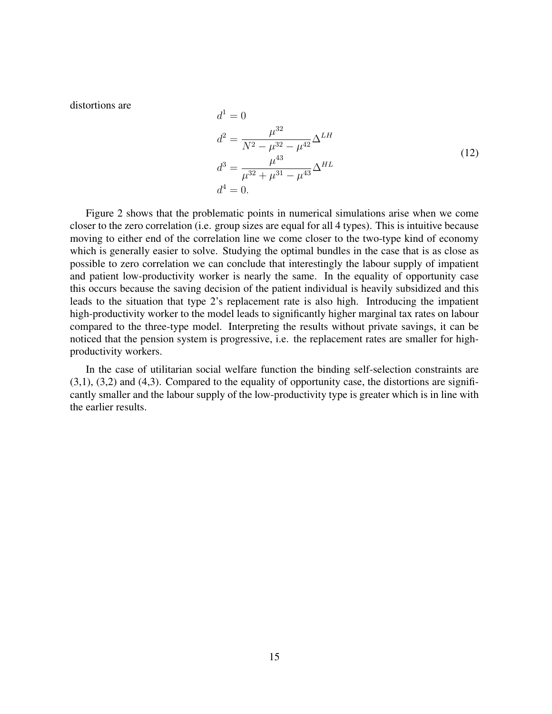distortions are

$$
a^{2} = \frac{\mu^{32}}{N^{2} - \mu^{32} - \mu^{42}} \Delta^{LH}
$$
  
\n
$$
d^{3} = \frac{\mu^{43}}{\mu^{32} + \mu^{31} - \mu^{43}} \Delta^{HL}
$$
  
\n
$$
d^{4} = 0.
$$
\n(12)

Figure 2 shows that the problematic points in numerical simulations arise when we come closer to the zero correlation (i.e. group sizes are equal for all 4 types). This is intuitive because moving to either end of the correlation line we come closer to the two-type kind of economy which is generally easier to solve. Studying the optimal bundles in the case that is as close as possible to zero correlation we can conclude that interestingly the labour supply of impatient and patient low-productivity worker is nearly the same. In the equality of opportunity case this occurs because the saving decision of the patient individual is heavily subsidized and this leads to the situation that type 2's replacement rate is also high. Introducing the impatient high-productivity worker to the model leads to significantly higher marginal tax rates on labour compared to the three-type model. Interpreting the results without private savings, it can be noticed that the pension system is progressive, i.e. the replacement rates are smaller for highproductivity workers.

 $J<sup>1</sup>$ 

 $\Omega$ 

In the case of utilitarian social welfare function the binding self-selection constraints are  $(3,1)$ ,  $(3,2)$  and  $(4,3)$ . Compared to the equality of opportunity case, the distortions are significantly smaller and the labour supply of the low-productivity type is greater which is in line with the earlier results.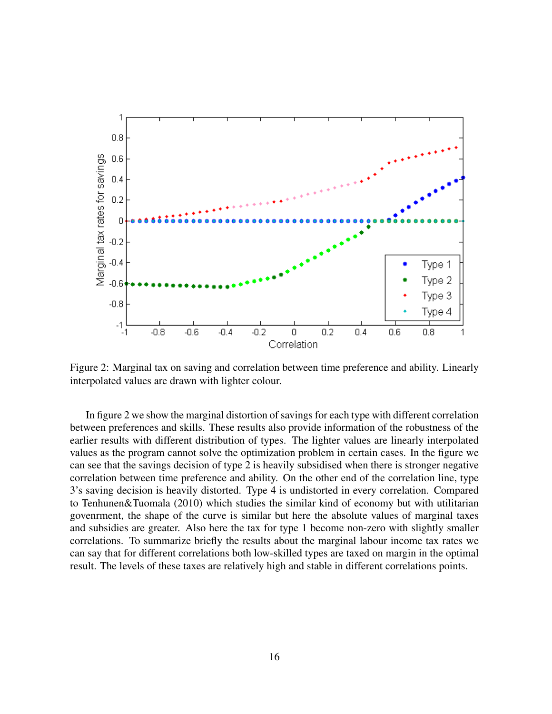

Figure 2: Marginal tax on saving and correlation between time preference and ability. Linearly interpolated values are drawn with lighter colour.

In figure 2 we show the marginal distortion of savings for each type with different correlation between preferences and skills. These results also provide information of the robustness of the earlier results with different distribution of types. The lighter values are linearly interpolated values as the program cannot solve the optimization problem in certain cases. In the figure we can see that the savings decision of type 2 is heavily subsidised when there is stronger negative correlation between time preference and ability. On the other end of the correlation line, type 3's saving decision is heavily distorted. Type 4 is undistorted in every correlation. Compared to Tenhunen&Tuomala (2010) which studies the similar kind of economy but with utilitarian govenrment, the shape of the curve is similar but here the absolute values of marginal taxes and subsidies are greater. Also here the tax for type 1 become non-zero with slightly smaller correlations. To summarize briefly the results about the marginal labour income tax rates we can say that for different correlations both low-skilled types are taxed on margin in the optimal result. The levels of these taxes are relatively high and stable in different correlations points.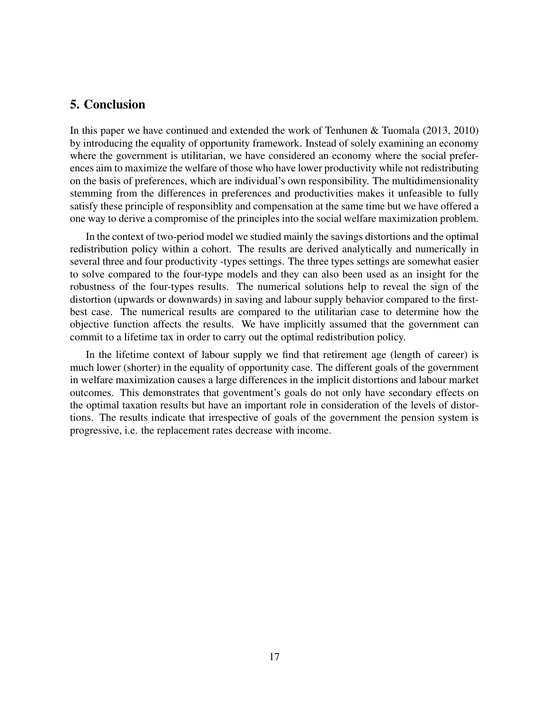#### 5. Conclusion

In this paper we have continued and extended the work of Tenhunen & Tuomala (2013, 2010) by introducing the equality of opportunity framework. Instead of solely examining an economy where the government is utilitarian, we have considered an economy where the social preferences aim to maximize the welfare of those who have lower productivity while not redistributing on the basis of preferences, which are individual's own responsibility. The multidimensionality stemming from the differences in preferences and productivities makes it unfeasible to fully satisfy these principle of responsiblity and compensation at the same time but we have offered a one way to derive a compromise of the principles into the social welfare maximization problem.

In the context of two-period model we studied mainly the savings distortions and the optimal redistribution policy within a cohort. The results are derived analytically and numerically in several three and four productivity -types settings. The three types settings are somewhat easier to solve compared to the four-type models and they can also been used as an insight for the robustness of the four-types results. The numerical solutions help to reveal the sign of the distortion (upwards or downwards) in saving and labour supply behavior compared to the firstbest case. The numerical results are compared to the utilitarian case to determine how the objective function affects the results. We have implicitly assumed that the government can commit to a lifetime tax in order to carry out the optimal redistribution policy.

In the lifetime context of labour supply we find that retirement age (length of career) is much lower (shorter) in the equality of opportunity case. The different goals of the government in welfare maximization causes a large differences in the implicit distortions and labour market outcomes. This demonstrates that goventment's goals do not only have secondary effects on the optimal taxation results but have an important role in consideration of the levels of distortions. The results indicate that irrespective of goals of the government the pension system is progressive, i.e. the replacement rates decrease with income.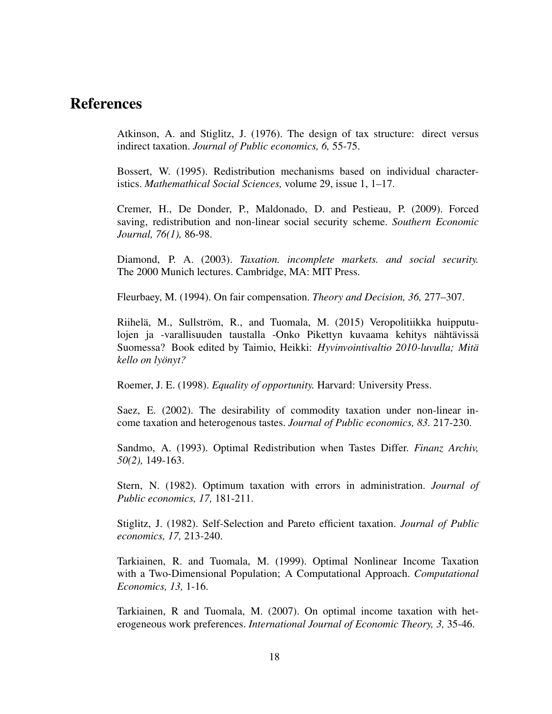### References

Atkinson, A. and Stiglitz, J. (1976). The design of tax structure: direct versus indirect taxation. *Journal of Public economics, 6,* 55-75.

Bossert, W. (1995). Redistribution mechanisms based on individual characteristics. *Mathemathical Social Sciences,* volume 29, issue 1, 1–17.

Cremer, H., De Donder, P., Maldonado, D. and Pestieau, P. (2009). Forced saving, redistribution and non-linear social security scheme. *Southern Economic Journal, 76(1),* 86-98.

Diamond, P. A. (2003). *Taxation. incomplete markets. and social security.* The 2000 Munich lectures. Cambridge, MA: MIT Press.

Fleurbaey, M. (1994). On fair compensation. *Theory and Decision, 36,* 277–307.

Riihelä, M., Sullström, R., and Tuomala, M. (2015) Veropolitiikka huipputulojen ja -varallisuuden taustalla -Onko Pikettyn kuvaama kehitys nähtävissä Suomessa? Book edited by Taimio, Heikki: *Hyvinvointivaltio 2010-luvulla; Mita¨ kello on lyonyt? ¨*

Roemer, J. E. (1998). *Equality of opportunity.* Harvard: University Press.

Saez, E. (2002). The desirability of commodity taxation under non-linear income taxation and heterogenous tastes. *Journal of Public economics, 83.* 217-230.

Sandmo, A. (1993). Optimal Redistribution when Tastes Differ. *Finanz Archiv, 50(2),* 149-163.

Stern, N. (1982). Optimum taxation with errors in administration. *Journal of Public economics, 17,* 181-211.

Stiglitz, J. (1982). Self-Selection and Pareto efficient taxation. *Journal of Public economics, 17,* 213-240.

Tarkiainen, R. and Tuomala, M. (1999). Optimal Nonlinear Income Taxation with a Two-Dimensional Population; A Computational Approach. *Computational Economics, 13,* 1-16.

Tarkiainen, R and Tuomala, M. (2007). On optimal income taxation with heterogeneous work preferences. *International Journal of Economic Theory, 3,* 35-46.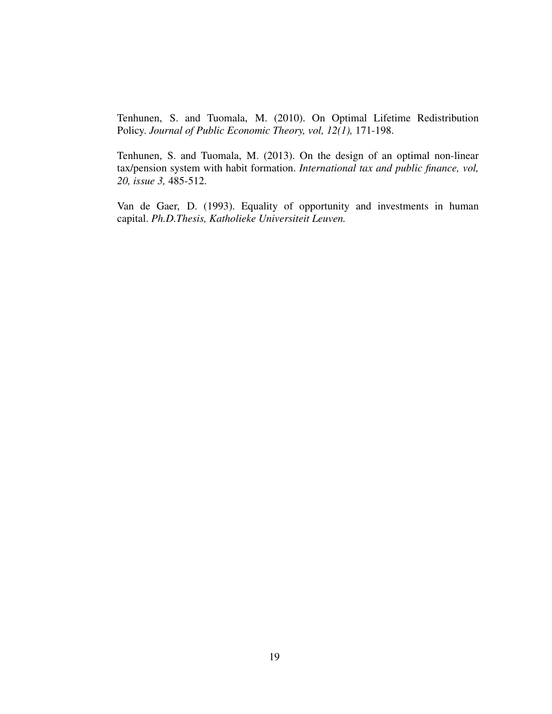Tenhunen, S. and Tuomala, M. (2010). On Optimal Lifetime Redistribution Policy. *Journal of Public Economic Theory, vol, 12(1),* 171-198.

Tenhunen, S. and Tuomala, M. (2013). On the design of an optimal non-linear tax/pension system with habit formation. *International tax and public finance, vol, 20, issue 3,* 485-512.

Van de Gaer, D. (1993). Equality of opportunity and investments in human capital. *Ph.D.Thesis, Katholieke Universiteit Leuven.*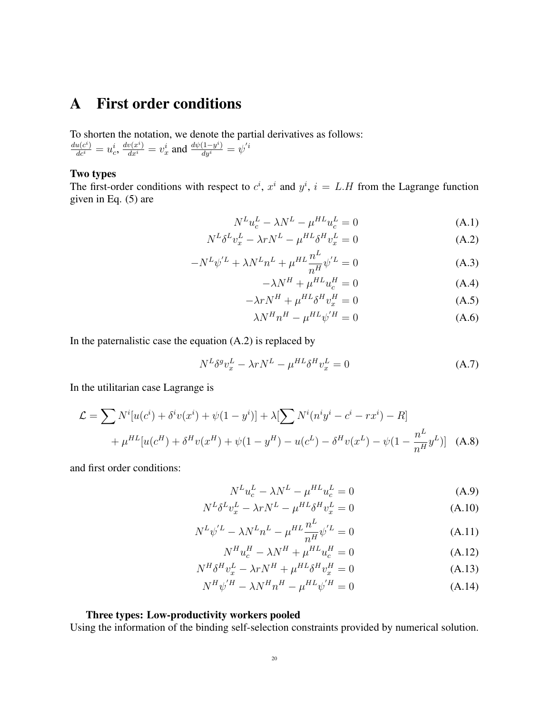# A First order conditions

To shorten the notation, we denote the partial derivatives as follows:  $\frac{du(c^i)}{dc^i}=u^i_c, \frac{dv(x^i)}{dx^i}=v^i_x$  and  $\frac{d\psi(1-y^i)}{dy^i}=\psi^{'i}$ 

#### Two types

The first-order conditions with respect to  $c^i$ ,  $x^i$  and  $y^i$ ,  $i = L.H$  from the Lagrange function given in Eq. (5) are

$$
N^L u_c^L - \lambda N^L - \mu^{HL} u_c^L = 0 \tag{A.1}
$$

$$
N^{L}\delta^{L}v_{x}^{L} - \lambda rN^{L} - \mu^{HL}\delta^{H}v_{x}^{L} = 0
$$
\n(A.2)

$$
-N^{L}\psi^{'L} + \lambda N^{L}n^{L} + \mu^{HL}\frac{n^{L}}{n^{H}}\psi^{'L} = 0
$$
\n(A.3)

$$
-\lambda N^H + \mu^{HL} u_c^H = 0 \tag{A.4}
$$

$$
-\lambda r N^H + \mu^{HL} \delta^H v_x^H = 0 \tag{A.5}
$$

$$
\lambda N^H n^H - \mu^{HL} \psi^{'H} = 0 \tag{A.6}
$$

In the paternalistic case the equation  $(A.2)$  is replaced by

$$
N^{L}\delta^{g}v_{x}^{L} - \lambda rN^{L} - \mu^{HL}\delta^{H}v_{x}^{L} = 0
$$
\n(A.7)

In the utilitarian case Lagrange is

$$
\mathcal{L} = \sum N^{i} [u(c^{i}) + \delta^{i} v(x^{i}) + \psi(1 - y^{i})] + \lambda [\sum N^{i} (n^{i} y^{i} - c^{i} - rx^{i}) - R] + \mu^{HL} [u(c^{H}) + \delta^{H} v(x^{H}) + \psi(1 - y^{H}) - u(c^{L}) - \delta^{H} v(x^{L}) - \psi(1 - \frac{n^{L}}{n^{H}} y^{L})]
$$
(A.8)

and first order conditions:

$$
N^L u_c^L - \lambda N^L - \mu^{HL} u_c^L = 0 \tag{A.9}
$$

$$
N^{L}\delta^{L}v_{x}^{L} - \lambda r N^{L} - \mu^{HL}\delta^{H}v_{x}^{L} = 0
$$
\n(A.10)

$$
N^{L}\psi^{'L} - \lambda N^{L}n^{L} - \mu^{HL}\frac{n^{L}}{n^{H}}\psi^{'L} = 0
$$
\n(A.11)

$$
N^H u_c^H - \lambda N^H + \mu^{HL} u_c^H = 0 \tag{A.12}
$$

$$
N^H \delta^H v_x^L - \lambda r N^H + \mu^{HL} \delta^H v_x^H = 0 \tag{A.13}
$$

$$
N^H \psi^{\prime H} - \lambda N^H n^H - \mu^{HL} \psi^{\prime H} = 0 \tag{A.14}
$$

#### Three types: Low-productivity workers pooled

Using the information of the binding self-selection constraints provided by numerical solution.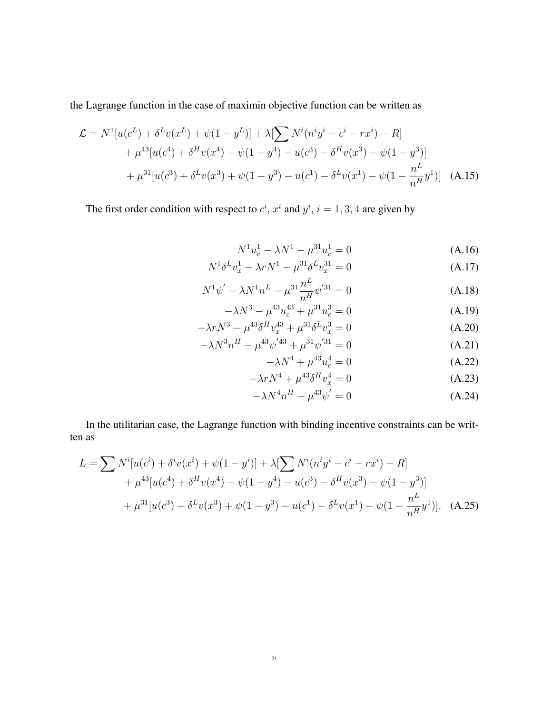the Lagrange function in the case of maximin objective function can be written as

$$
\mathcal{L} = N^1 [u(c^L) + \delta^L v(x^L) + \psi(1 - y^L)] + \lambda [\sum N^i (n^i y^i - c^i - rx^i) - R] + \mu^{43} [u(c^4) + \delta^H v(x^4) + \psi(1 - y^4) - u(c^3) - \delta^H v(x^3) - \psi(1 - y^3)] + \mu^{31} [u(c^3) + \delta^L v(x^3) + \psi(1 - y^3) - u(c^1) - \delta^L v(x^1) - \psi(1 - \frac{n^L}{n^H} y^1)]
$$
 (A.15)

The first order condition with respect to  $c^i$ ,  $x^i$  and  $y^i$ ,  $i = 1, 3, 4$  are given by

$$
N^{1}u_{c}^{1} - \lambda N^{1} - \mu^{31}u_{c}^{1} = 0
$$
\n(A.16)

$$
N^{1} \delta^{L} v_{x}^{1} - \lambda r N^{1} - \mu^{31} \delta^{L} v_{x}^{31} = 0
$$
 (A.17)

$$
N^{1}\psi' - \lambda N^{1}n^{L} - \mu^{31}\frac{n^{L}}{n^{H}}\psi'^{31} = 0
$$
 (A.18)

$$
-\lambda N^3 - \mu^{43} u_c^{43} + \mu^{31} u_c^3 = 0
$$
 (A.19)

$$
-\lambda r N^3 - \mu^{43} \delta^H v_x^{43} + \mu^{31} \delta^L v_x^3 = 0
$$
\n
$$
-\lambda N^3 n^H - \mu^{43} \psi^{'43} + \mu^{31} \psi^{'31} = 0
$$
\n(A.20)\n(A.21)

$$
N^3 n^H - \mu^{43} \psi^{'43} + \mu^{31} \psi^{'31} = 0
$$
\n
$$
-\lambda N^4 + \mu^{43} u_c^4 = 0
$$
\n(A.21)\n(A.22)

$$
-\lambda r N^4 + \mu^{43} \delta^H v_x^4 = 0
$$
\n(A.23)

$$
-\lambda N^4 n^H + \mu^{43} \psi' = 0 \tag{A.24}
$$

In the utilitarian case, the Lagrange function with binding incentive constraints can be written as

$$
L = \sum N^{i}[u(c^{i}) + \delta^{i}v(x^{i}) + \psi(1 - y^{i})] + \lambda[\sum N^{i}(n^{i}y^{i} - c^{i} - rx^{i}) - R] + \mu^{43}[u(c^{4}) + \delta^{H}v(x^{4}) + \psi(1 - y^{4}) - u(c^{3}) - \delta^{H}v(x^{3}) - \psi(1 - y^{3})] + \mu^{31}[u(c^{3}) + \delta^{L}v(x^{3}) + \psi(1 - y^{3}) - u(c^{1}) - \delta^{L}v(x^{1}) - \psi(1 - \frac{n^{L}}{n^{H}}y^{1})].
$$
 (A.25)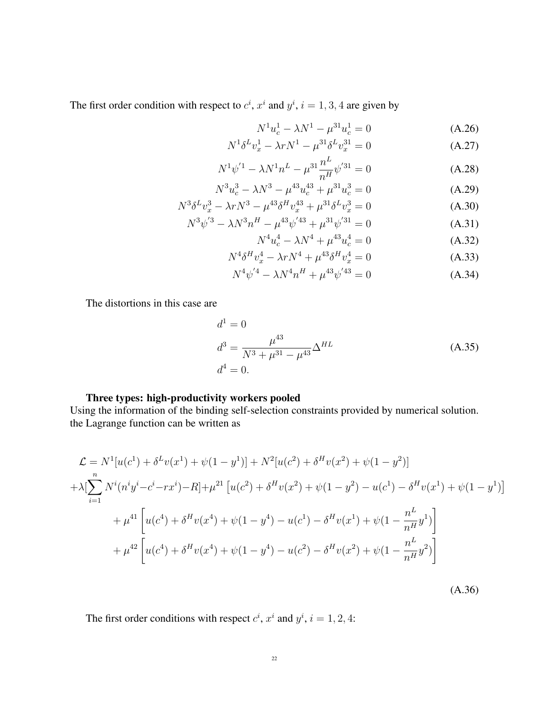The first order condition with respect to  $c^i$ ,  $x^i$  and  $y^i$ ,  $i = 1, 3, 4$  are given by

$$
N^{1}u_{c}^{1} - \lambda N^{1} - \mu^{31}u_{c}^{1} = 0
$$
 (A.26)

$$
N^{1} \delta^{L} v_{x}^{1} - \lambda r N^{1} - \mu^{31} \delta^{L} v_{x}^{31} = 0
$$
 (A.27)

$$
N^{1}\psi^{'1} - \lambda N^{1}n^{L} - \mu^{31}\frac{n^{L}}{n^{H}}\psi^{'31} = 0
$$
 (A.28)

$$
N^3 u_c^3 - \lambda N^3 - \mu^{43} u_c^{43} + \mu^{31} u_c^3 = 0
$$
 (A.29)

$$
N^3 \delta^L v_x^3 - \lambda r N^3 - \mu^{43} \delta^H v_x^{43} + \mu^{31} \delta^L v_x^3 = 0
$$
\n(A.30)\n
$$
N^3 \delta^2 v_x^3 - \lambda r N^3 H + 43 \delta^2 v_x^4 + 31 \delta^2 v_x^3 = 0
$$
\n(A.31)

$$
N^3 \psi^{'3} - \lambda N^3 n^H - \mu^{43} \psi^{'43} + \mu^{31} \psi^{'31} = 0
$$
 (A.31)  

$$
N^4 \psi^{'4} - \lambda N^4 + \mu^{43} \psi^{'4} = 0
$$
 (A.32)

$$
N^4 u_c^4 - \lambda N^4 + \mu^{43} u_c^4 = 0 \tag{A.32}
$$

$$
N^4 \delta^H v_x^4 - \lambda r N^4 + \mu^{43} \delta^H v_x^4 = 0 \tag{A.33}
$$

$$
N^4 \psi^{'4} - \lambda N^4 n^H + \mu^{43} \psi^{'43} = 0 \tag{A.34}
$$

The distortions in this case are

$$
d^{1} = 0
$$
  
\n
$$
d^{3} = \frac{\mu^{43}}{N^{3} + \mu^{31} - \mu^{43}} \Delta^{HL}
$$
\n
$$
d^{4} = 0.
$$
\n(A.35)

(A.36)

#### Three types: high-productivity workers pooled

Using the information of the binding self-selection constraints provided by numerical solution. the Lagrange function can be written as

$$
\mathcal{L} = N^{1}[u(c^{1}) + \delta^{L}v(x^{1}) + \psi(1 - y^{1})] + N^{2}[u(c^{2}) + \delta^{H}v(x^{2}) + \psi(1 - y^{2})]
$$
  
+ 
$$
\lambda \left[ \sum_{i=1}^{n} N^{i}(n^{i}y^{i} - c^{i} - rx^{i}) - R \right] + \mu^{21} [u(c^{2}) + \delta^{H}v(x^{2}) + \psi(1 - y^{2}) - u(c^{1}) - \delta^{H}v(x^{1}) + \psi(1 - y^{1})]
$$
  
+ 
$$
\mu^{41} \left[ u(c^{4}) + \delta^{H}v(x^{4}) + \psi(1 - y^{4}) - u(c^{1}) - \delta^{H}v(x^{1}) + \psi(1 - \frac{n^{L}}{n^{H}}y^{1}) \right]
$$
  
+ 
$$
\mu^{42} \left[ u(c^{4}) + \delta^{H}v(x^{4}) + \psi(1 - y^{4}) - u(c^{2}) - \delta^{H}v(x^{2}) + \psi(1 - \frac{n^{L}}{n^{H}}y^{2}) \right]
$$

The first order conditions with respect  $c^i$ ,  $x^i$  and  $y^i$ ,  $i = 1, 2, 4$ :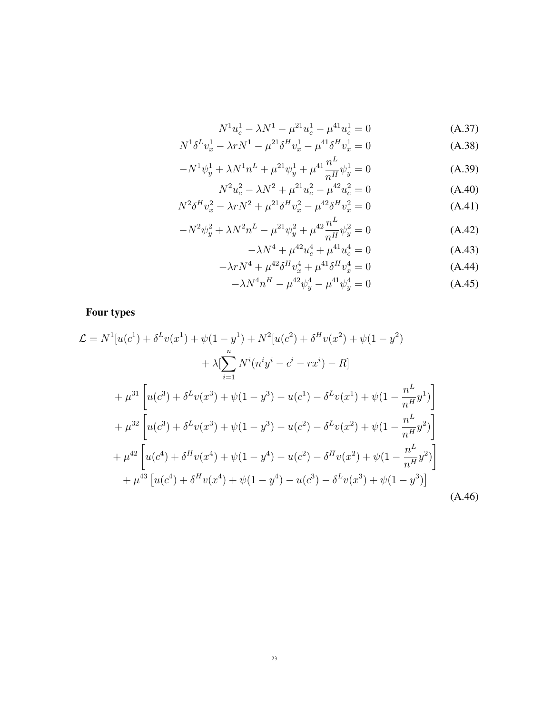$$
N^{1}u_{c}^{1} - \lambda N^{1} - \mu^{21}u_{c}^{1} - \mu^{41}u_{c}^{1} = 0
$$
 (A.37)

$$
N^{1} \delta^{L} v_{x}^{1} - \lambda r N^{1} - \mu^{21} \delta^{H} v_{x}^{1} - \mu^{41} \delta^{H} v_{x}^{1} = 0
$$
\n(A.38)

$$
-N^{1}\psi_{y}^{1} + \lambda N^{1}n^{L} + \mu^{21}\psi_{y}^{1} + \mu^{41}\frac{n^{L}}{n^{H}}\psi_{y}^{1} = 0
$$
 (A.39)

$$
N^2 u_c^2 - \lambda N^2 + \mu^{21} u_c^2 - \mu^{42} u_c^2 = 0
$$
 (A.40)

$$
N^2 \delta^H v_x^2 - \lambda r N^2 + \mu^{21} \delta^H v_x^2 - \mu^{42} \delta^H v_x^2 = 0
$$
\n(A.41)

$$
-N^2\psi_y^2 + \lambda N^2 n^L - \mu^{21}\psi_y^2 + \mu^{42}\frac{n^L}{n^H}\psi_y^2 = 0
$$
 (A.42)

$$
-\lambda N^4 + \mu^4 u_c^4 + \mu^4 u_c^4 = 0 \tag{A.43}
$$

$$
-\lambda r N^4 + \mu^{42} \delta^H v_x^4 + \mu^{41} \delta^H v_x^4 = 0 \tag{A.44}
$$

$$
-\lambda N^4 n^H - \mu^{42} \psi_y^4 - \mu^{41} \psi_y^4 = 0 \tag{A.45}
$$

Four types

$$
\mathcal{L} = N^{1}[u(c^{1}) + \delta^{L}v(x^{1}) + \psi(1 - y^{1}) + N^{2}[u(c^{2}) + \delta^{H}v(x^{2}) + \psi(1 - y^{2})
$$
  
+  $\lambda[\sum_{i=1}^{n} N^{i}(n^{i}y^{i} - c^{i} - rx^{i}) - R]$   
+  $\mu^{31}\left[u(c^{3}) + \delta^{L}v(x^{3}) + \psi(1 - y^{3}) - u(c^{1}) - \delta^{L}v(x^{1}) + \psi(1 - \frac{n^{L}}{n^{H}}y^{1})\right]$   
+  $\mu^{32}\left[u(c^{3}) + \delta^{L}v(x^{3}) + \psi(1 - y^{3}) - u(c^{2}) - \delta^{L}v(x^{2}) + \psi(1 - \frac{n^{L}}{n^{H}}y^{2})\right]$   
+  $\mu^{42}\left[u(c^{4}) + \delta^{H}v(x^{4}) + \psi(1 - y^{4}) - u(c^{2}) - \delta^{H}v(x^{2}) + \psi(1 - \frac{n^{L}}{n^{H}}y^{2})\right]$   
+  $\mu^{43}\left[u(c^{4}) + \delta^{H}v(x^{4}) + \psi(1 - y^{4}) - u(c^{3}) - \delta^{L}v(x^{3}) + \psi(1 - y^{3})\right]$  (A.46)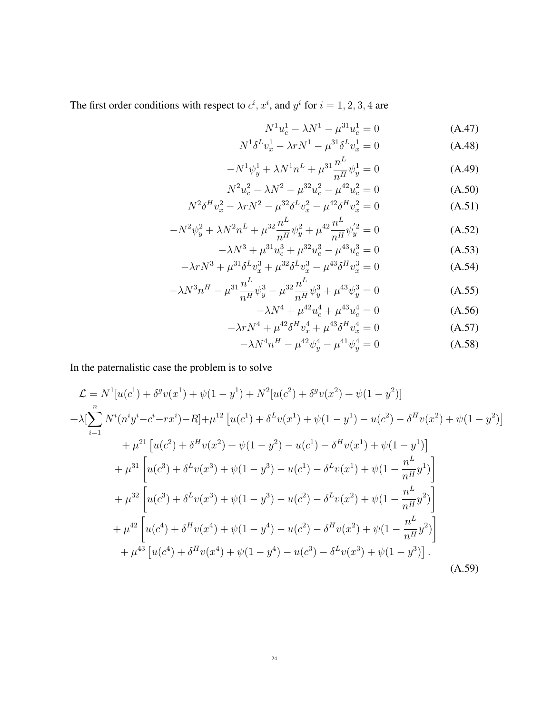The first order conditions with respect to  $c^i$ ,  $x^i$ , and  $y^i$  for  $i = 1, 2, 3, 4$  are

$$
N^{1}u_{c}^{1} - \lambda N^{1} - \mu^{31}u_{c}^{1} = 0 \qquad (A.47)
$$

$$
N^{1} \delta^{L} v_{x}^{1} - \lambda r N^{1} - \mu^{31} \delta^{L} v_{x}^{1} = 0
$$
 (A.48)

$$
-N^{1}\psi_{y}^{1} + \lambda N^{1}n^{L} + \mu^{31}\frac{n^{L}}{n^{H}}\psi_{y}^{1} = 0
$$
 (A.49)

$$
N^2 u_c^2 - \lambda N^2 - \mu^{32} u_c^2 - \mu^{42} u_c^2 = 0
$$
 (A.50)

$$
N^2 \delta^H v_x^2 - \lambda r N^2 - \mu^{32} \delta^L v_x^2 - \mu^{42} \delta^H v_x^2 = 0
$$
 (A.51)

$$
-N^2\psi_y^2 + \lambda N^2 n^L + \mu^{32} \frac{n^L}{n^H} \psi_y^2 + \mu^{42} \frac{n^L}{n^H} \psi_y^{'2} = 0
$$
 (A.52)

$$
-\lambda N^3 + \mu^{31} u_c^3 + \mu^{32} u_c^3 - \mu^{43} u_c^3 = 0
$$
 (A.53)

$$
-\lambda r N^3 + \mu^{31} \delta^L v_x^3 + \mu^{32} \delta^L v_x^3 - \mu^{43} \delta^H v_x^3 = 0
$$
 (A.54)

$$
-\lambda N^3 n^H - \mu^{31} \frac{n^L}{n^H} \psi_y^3 - \mu^{32} \frac{n^L}{n^H} \psi_y^3 + \mu^{43} \psi_y^3 = 0
$$
 (A.55)

$$
-\lambda N^4 + \mu^{42} u_c^4 + \mu^{43} u_c^4 = 0 \tag{A.56}
$$

$$
-\lambda r N^4 + \mu^{42} \delta^H v_x^4 + \mu^{43} \delta^H v_x^4 = 0 \tag{A.57}
$$

$$
-\lambda N^4 n^H - \mu^{42} \psi_y^4 - \mu^{41} \psi_y^4 = 0
$$
 (A.58)

In the paternalistic case the problem is to solve

$$
\mathcal{L} = N^{1}[u(c^{1}) + \delta^{g}v(x^{1}) + \psi(1 - y^{1}) + N^{2}[u(c^{2}) + \delta^{g}v(x^{2}) + \psi(1 - y^{2})]
$$
  
+ 
$$
\lambda[\sum_{i=1}^{n} N^{i}(n^{i}y^{i} - c^{i} - rx^{i}) - R] + \mu^{12}[u(c^{1}) + \delta^{L}v(x^{1}) + \psi(1 - y^{1}) - u(c^{2}) - \delta^{H}v(x^{2}) + \psi(1 - y^{2})]
$$
  
+ 
$$
\mu^{21}[u(c^{2}) + \delta^{H}v(x^{2}) + \psi(1 - y^{2}) - u(c^{1}) - \delta^{H}v(x^{1}) + \psi(1 - y^{1})]
$$
  
+ 
$$
\mu^{31}[u(c^{3}) + \delta^{L}v(x^{3}) + \psi(1 - y^{3}) - u(c^{1}) - \delta^{L}v(x^{1}) + \psi(1 - \frac{n^{L}}{n^{H}}y^{1})]
$$
  
+ 
$$
\mu^{32}[u(c^{3}) + \delta^{L}v(x^{3}) + \psi(1 - y^{3}) - u(c^{2}) - \delta^{L}v(x^{2}) + \psi(1 - \frac{n^{L}}{n^{H}}y^{2})]
$$
  
+ 
$$
\mu^{42}[u(c^{4}) + \delta^{H}v(x^{4}) + \psi(1 - y^{4}) - u(c^{2}) - \delta^{H}v(x^{2}) + \psi(1 - \frac{n^{L}}{n^{H}}y^{2})]
$$
  
+ 
$$
\mu^{43}[u(c^{4}) + \delta^{H}v(x^{4}) + \psi(1 - y^{4}) - u(c^{3}) - \delta^{L}v(x^{3}) + \psi(1 - y^{3})].
$$
 (A.59)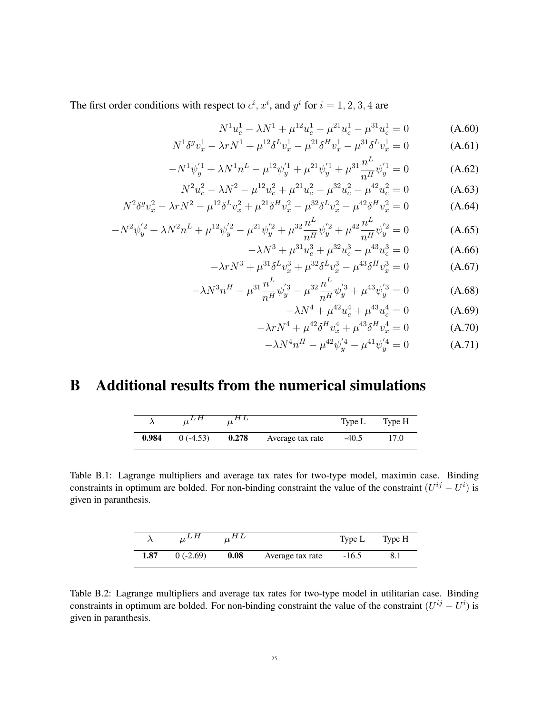The first order conditions with respect to  $c^i$ ,  $x^i$ , and  $y^i$  for  $i = 1, 2, 3, 4$  are

$$
N^{1}u_{c}^{1} - \lambda N^{1} + \mu^{12}u_{c}^{1} - \mu^{21}u_{c}^{1} - \mu^{31}u_{c}^{1} = 0
$$
 (A.60)

$$
N^{1}\delta^{g}v_{x}^{1} - \lambda r N^{1} + \mu^{12}\delta^{L}v_{x}^{1} - \mu^{21}\delta^{H}v_{x}^{1} - \mu^{31}\delta^{L}v_{x}^{1} = 0
$$
 (A.61)

$$
-N^{1}\psi_{y}^{'1} + \lambda N^{1}n^{L} - \mu^{12}\psi_{y}^{'1} + \mu^{21}\psi_{y}^{'1} + \mu^{31}\frac{n^{L}}{n^{H}}\psi_{y}^{'1} = 0
$$
 (A.62)

$$
N^2 u_c^2 - \lambda N^2 - \mu^{12} u_c^2 + \mu^{21} u_c^2 - \mu^{32} u_c^2 - \mu^{42} u_c^2 = 0 \tag{A.63}
$$

$$
N^2 \delta^g v_x^2 - \lambda r N^2 - \mu^{12} \delta^L v_x^2 + \mu^{21} \delta^H v_x^2 - \mu^{32} \delta^L v_x^2 - \mu^{42} \delta^H v_x^2 = 0 \tag{A.64}
$$

$$
-N^2\psi_y^{'2} + \lambda N^2 n^L + \mu^{12}\psi_y^{'2} - \mu^{21}\psi_y^{'2} + \mu^{32}\frac{n^L}{n^H}\psi_y^{'2} + \mu^{42}\frac{n^L}{n^H}\psi_y^{'2} = 0
$$
 (A.65)

$$
-\lambda N^3 + \mu^{31} u_c^3 + \mu^{32} u_c^3 - \mu^{43} u_c^3 = 0 \tag{A.66}
$$

$$
-\lambda r N^3 + \mu^{31} \delta^L v_x^3 + \mu^{32} \delta^L v_x^3 - \mu^{43} \delta^H v_x^3 = 0
$$
 (A.67)

$$
-\lambda N^3 n^H - \mu^{31} \frac{n^L}{n^H} \psi_y^{'3} - \mu^{32} \frac{n^L}{n^H} \psi_y^{'3} + \mu^{43} \psi_y^{'3} = 0 \tag{A.68}
$$

$$
-\lambda N^4 + \mu^{42} u_c^4 + \mu^{43} u_c^4 = 0 \tag{A.69}
$$

$$
-\lambda r N^4 + \mu^{42} \delta^H v_x^4 + \mu^{43} \delta^H v_x^4 = 0 \tag{A.70}
$$

$$
-\lambda N^4 n^H - \mu^{42} \psi_y^{'4} - \mu^{41} \psi_y^{'4} = 0 \tag{A.71}
$$

# B Additional results from the numerical simulations

|       |            | . . H L |                  | Type L  | Type H |
|-------|------------|---------|------------------|---------|--------|
| 0.984 | $0(-4.53)$ | 0.278   | Average tax rate | $-40.5$ | 17.0   |

Table B.1: Lagrange multipliers and average tax rates for two-type model, maximin case. Binding constraints in optimum are bolded. For non-binding constraint the value of the constraint  $(U^{ij} - U^i)$  is given in paranthesis.

|      |            |      |                  | Type L  | Type H |
|------|------------|------|------------------|---------|--------|
| 1.87 | $0(-2.69)$ | 0.08 | Average tax rate | $-16.5$ |        |

Table B.2: Lagrange multipliers and average tax rates for two-type model in utilitarian case. Binding constraints in optimum are bolded. For non-binding constraint the value of the constraint  $(U^{ij} - U^i)$  is given in paranthesis.